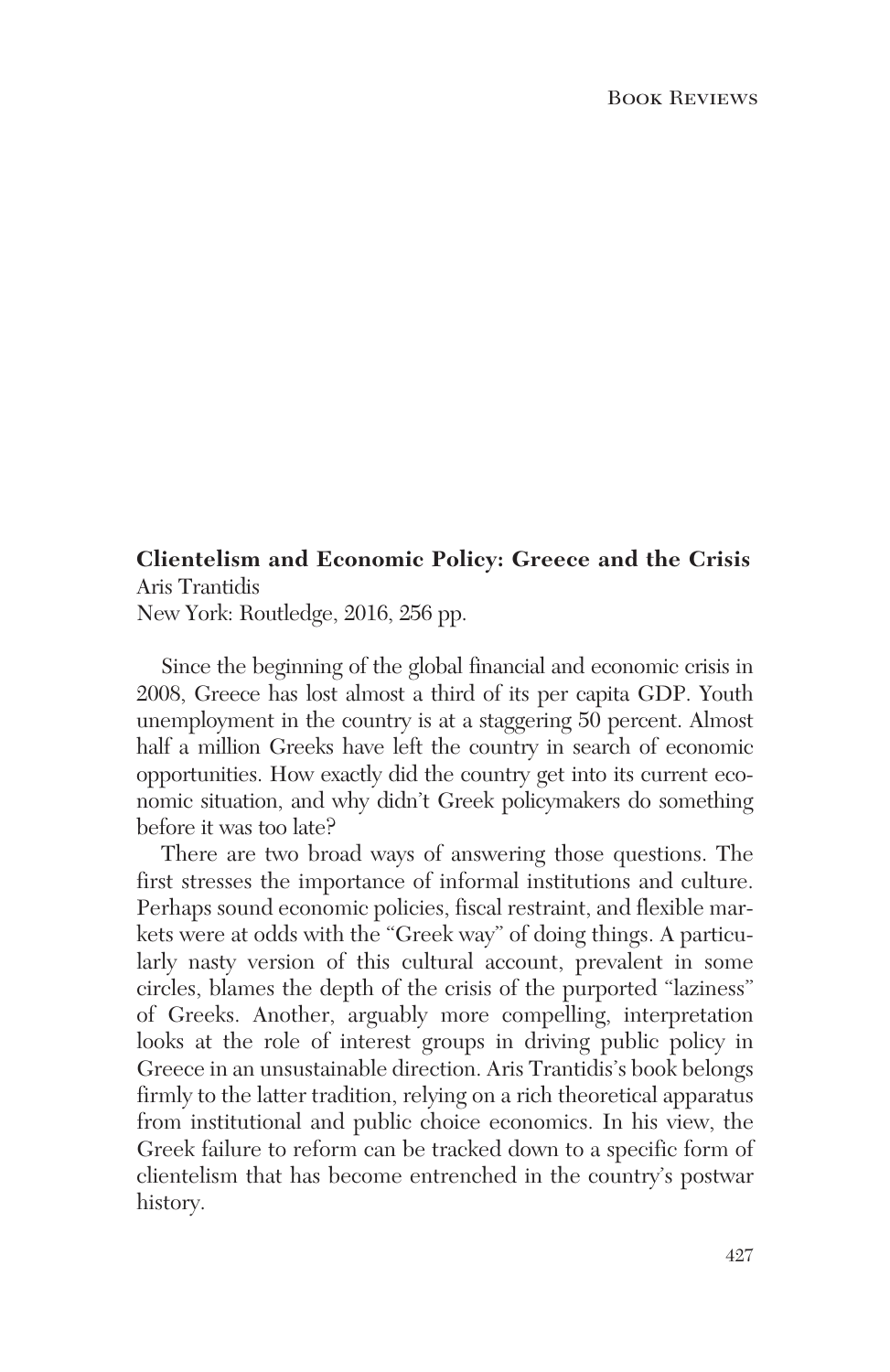## **Clientelism and Economic Policy: Greece and the Crisis** Aris Trantidis

New York: Routledge, 2016, 256 pp.

Since the beginning of the global financial and economic crisis in 2008, Greece has lost almost a third of its per capita GDP. Youth unemployment in the country is at a staggering 50 percent. Almost half a million Greeks have left the country in search of economic opportunities. How exactly did the country get into its current economic situation, and why didn't Greek policymakers do something before it was too late?

There are two broad ways of answering those questions. The first stresses the importance of informal institutions and culture. Perhaps sound economic policies, fiscal restraint, and flexible markets were at odds with the "Greek way" of doing things. A particularly nasty version of this cultural account, prevalent in some circles, blames the depth of the crisis of the purported "laziness" of Greeks. Another, arguably more compelling, interpretation looks at the role of interest groups in driving public policy in Greece in an unsustainable direction. Aris Trantidis's book belongs firmly to the latter tradition, relying on a rich theoretical apparatus from institutional and public choice economics. In his view, the Greek failure to reform can be tracked down to a specific form of clientelism that has become entrenched in the country's postwar history.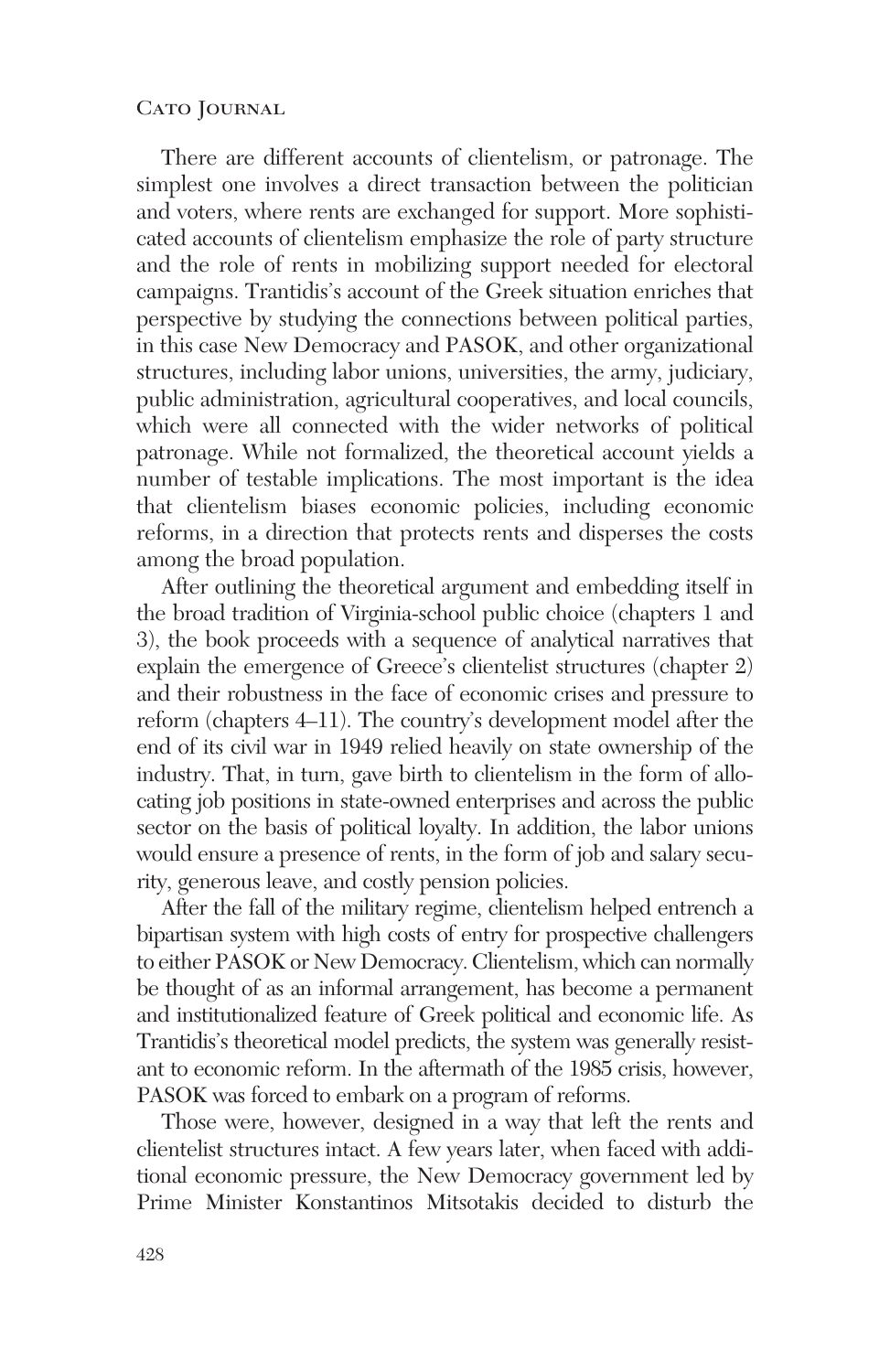## CATO JOURNAL

There are different accounts of clientelism, or patronage. The simplest one involves a direct transaction between the politician and voters, where rents are exchanged for support. More sophisticated accounts of clientelism emphasize the role of party structure and the role of rents in mobilizing support needed for electoral campaigns. Trantidis's account of the Greek situation enriches that perspective by studying the connections between political parties, in this case New Democracy and PASOK, and other organizational structures, including labor unions, universities, the army, judiciary, public administration, agricultural cooperatives, and local councils, which were all connected with the wider networks of political patronage. While not formalized, the theoretical account yields a number of testable implications. The most important is the idea that clientelism biases economic policies, including economic reforms, in a direction that protects rents and disperses the costs among the broad population.

After outlining the theoretical argument and embedding itself in the broad tradition of Virginia-school public choice (chapters 1 and 3), the book proceeds with a sequence of analytical narratives that explain the emergence of Greece's clientelist structures (chapter 2) and their robustness in the face of economic crises and pressure to reform (chapters 4–11). The country's development model after the end of its civil war in 1949 relied heavily on state ownership of the industry. That, in turn, gave birth to clientelism in the form of allocating job positions in state-owned enterprises and across the public sector on the basis of political loyalty. In addition, the labor unions would ensure a presence of rents, in the form of job and salary security, generous leave, and costly pension policies.

After the fall of the military regime, clientelism helped entrench a bipartisan system with high costs of entry for prospective challengers to either PASOK or New Democracy. Clientelism, which can normally be thought of as an informal arrangement, has become a permanent and institutionalized feature of Greek political and economic life. As Trantidis's theoretical model predicts, the system was generally resistant to economic reform. In the aftermath of the 1985 crisis, however, PASOK was forced to embark on a program of reforms.

Those were, however, designed in a way that left the rents and clientelist structures intact. A few years later, when faced with additional economic pressure, the New Democracy government led by Prime Minister Konstantinos Mitsotakis decided to disturb the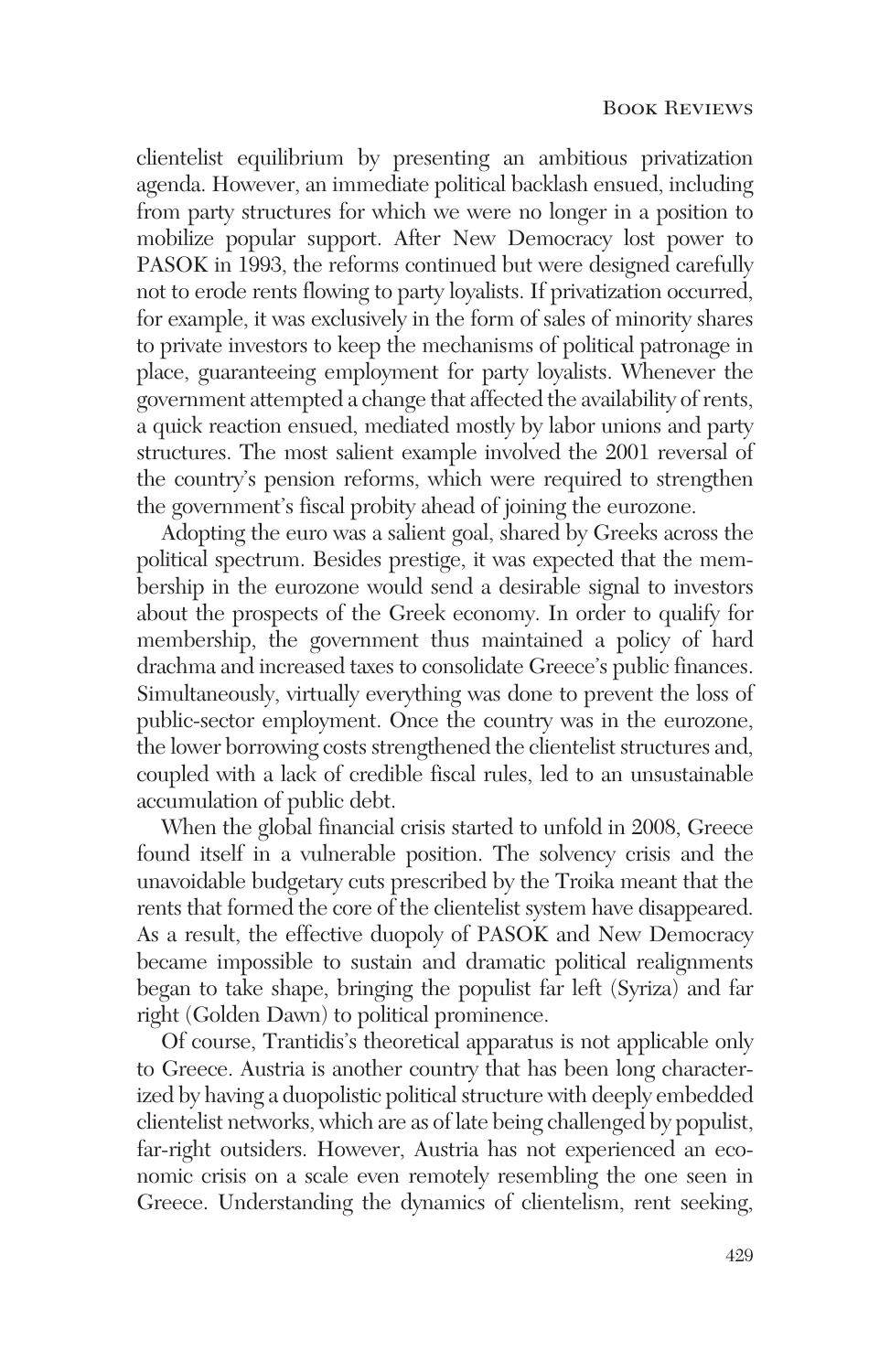clientelist equilibrium by presenting an ambitious privatization agenda. However, an immediate political backlash ensued, including from party structures for which we were no longer in a position to mobilize popular support. After New Democracy lost power to PASOK in 1993, the reforms continued but were designed carefully not to erode rents flowing to party loyalists. If privatization occurred, for example, it was exclusively in the form of sales of minority shares to private investors to keep the mechanisms of political patronage in place, guaranteeing employment for party loyalists. Whenever the government attempted a change that affected the availability of rents, a quick reaction ensued, mediated mostly by labor unions and party structures. The most salient example involved the 2001 reversal of the country's pension reforms, which were required to strengthen the government's fiscal probity ahead of joining the eurozone.

Adopting the euro was a salient goal, shared by Greeks across the political spectrum. Besides prestige, it was expected that the membership in the eurozone would send a desirable signal to investors about the prospects of the Greek economy. In order to qualify for membership, the government thus maintained a policy of hard drachma and increased taxes to consolidate Greece's public finances. Simultaneously, virtually everything was done to prevent the loss of public-sector employment. Once the country was in the eurozone, the lower borrowing costs strengthened the clientelist structures and, coupled with a lack of credible fiscal rules, led to an unsustainable accumulation of public debt.

When the global financial crisis started to unfold in 2008, Greece found itself in a vulnerable position. The solvency crisis and the unavoidable budgetary cuts prescribed by the Troika meant that the rents that formed the core of the clientelist system have disappeared. As a result, the effective duopoly of PASOK and New Democracy became impossible to sustain and dramatic political realignments began to take shape, bringing the populist far left (Syriza) and far right (Golden Dawn) to political prominence.

Of course, Trantidis's theoretical apparatus is not applicable only to Greece. Austria is another country that has been long characterized by having a duopolistic political structure with deeply embedded clientelist networks, which are as of late being challenged by populist, far-right outsiders. However, Austria has not experienced an economic crisis on a scale even remotely resembling the one seen in Greece. Understanding the dynamics of clientelism, rent seeking,